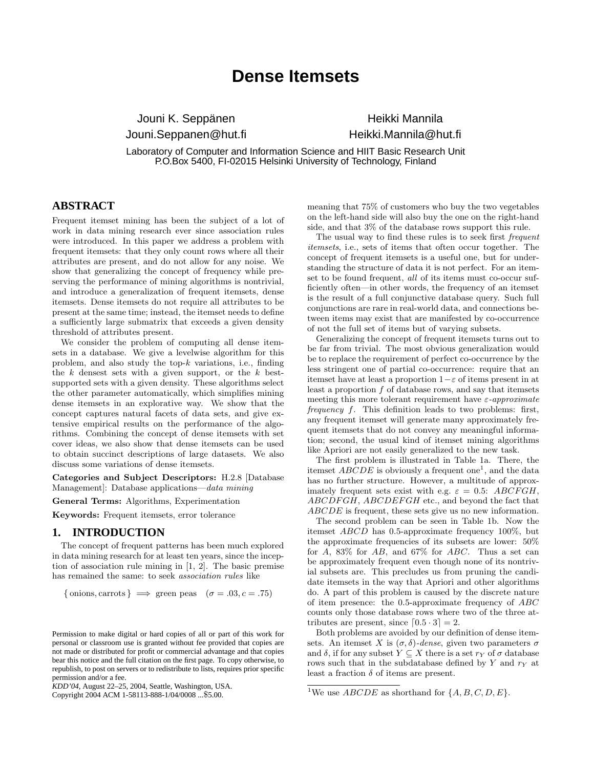# **Dense Itemsets**

Jouni K. Seppänen Jouni.Seppanen@hut.fi

Heikki Mannila Heikki.Mannila@hut.fi

Laboratory of Computer and Information Science and HIIT Basic Research Unit P.O.Box 5400, FI-02015 Helsinki University of Technology, Finland

# **ABSTRACT**

Frequent itemset mining has been the subject of a lot of work in data mining research ever since association rules were introduced. In this paper we address a problem with frequent itemsets: that they only count rows where all their attributes are present, and do not allow for any noise. We show that generalizing the concept of frequency while preserving the performance of mining algorithms is nontrivial, and introduce a generalization of frequent itemsets, dense itemsets. Dense itemsets do not require all attributes to be present at the same time; instead, the itemset needs to define a sufficiently large submatrix that exceeds a given density threshold of attributes present.

We consider the problem of computing all dense itemsets in a database. We give a levelwise algorithm for this problem, and also study the top-k variations, i.e., finding the  $k$  densest sets with a given support, or the  $k$  bestsupported sets with a given density. These algorithms select the other parameter automatically, which simplifies mining dense itemsets in an explorative way. We show that the concept captures natural facets of data sets, and give extensive empirical results on the performance of the algorithms. Combining the concept of dense itemsets with set cover ideas, we also show that dense itemsets can be used to obtain succinct descriptions of large datasets. We also discuss some variations of dense itemsets.

Categories and Subject Descriptors: H.2.8 [Database Management]: Database applications—data mining

General Terms: Algorithms, Experimentation

Keywords: Frequent itemsets, error tolerance

#### **1. INTRODUCTION**

The concept of frequent patterns has been much explored in data mining research for at least ten years, since the inception of association rule mining in [1, 2]. The basic premise has remained the same: to seek association rules like

$$
\{\text{onions}, \text{carrots}\} \implies \text{green p}\text{eas } (\sigma = .03, c = .75)
$$

Copyright 2004 ACM 1-58113-888-1/04/0008 ...\$5.00.

meaning that 75% of customers who buy the two vegetables on the left-hand side will also buy the one on the right-hand side, and that 3% of the database rows support this rule.

The usual way to find these rules is to seek first *frequent* itemsets, i.e., sets of items that often occur together. The concept of frequent itemsets is a useful one, but for understanding the structure of data it is not perfect. For an itemset to be found frequent, all of its items must co-occur sufficiently often—in other words, the frequency of an itemset is the result of a full conjunctive database query. Such full conjunctions are rare in real-world data, and connections between items may exist that are manifested by co-occurrence of not the full set of items but of varying subsets.

Generalizing the concept of frequent itemsets turns out to be far from trivial. The most obvious generalization would be to replace the requirement of perfect co-occurrence by the less stringent one of partial co-occurrence: require that an itemset have at least a proportion  $1-\varepsilon$  of items present in at least a proportion f of database rows, and say that itemsets meeting this more tolerant requirement have  $\varepsilon$ -approximate frequency f. This definition leads to two problems: first, any frequent itemset will generate many approximately frequent itemsets that do not convey any meaningful information; second, the usual kind of itemset mining algorithms like Apriori are not easily generalized to the new task.

The first problem is illustrated in Table 1a. There, the itemset  $ABCDE$  is obviously a frequent one<sup>1</sup>, and the data has no further structure. However, a multitude of approximately frequent sets exist with e.g.  $\varepsilon = 0.5$ : ABCFGH, ABCDFGH, ABCDEFGH etc., and beyond the fact that ABCDE is frequent, these sets give us no new information.

The second problem can be seen in Table 1b. Now the itemset ABCD has 0.5-approximate frequency 100%, but the approximate frequencies of its subsets are lower: 50% for A, 83% for AB, and 67% for ABC. Thus a set can be approximately frequent even though none of its nontrivial subsets are. This precludes us from pruning the candidate itemsets in the way that Apriori and other algorithms do. A part of this problem is caused by the discrete nature of item presence: the 0.5-approximate frequency of ABC counts only those database rows where two of the three attributes are present, since  $[0.5 \cdot 3] = 2$ .

Both problems are avoided by our definition of dense itemsets. An itemset X is  $(\sigma, \delta)$ -dense, given two parameters  $\sigma$ and  $\delta$ , if for any subset  $Y \subseteq X$  there is a set  $r_Y$  of  $\sigma$  database rows such that in the subdatabase defined by Y and  $r<sub>Y</sub>$  at least a fraction  $\delta$  of items are present.

Permission to make digital or hard copies of all or part of this work for personal or classroom use is granted without fee provided that copies are not made or distributed for profit or commercial advantage and that copies bear this notice and the full citation on the first page. To copy otherwise, to republish, to post on servers or to redistribute to lists, requires prior specific permission and/or a fee.

*KDD'04,* August 22–25, 2004, Seattle, Washington, USA.

<sup>&</sup>lt;sup>1</sup>We use *ABCDE* as shorthand for  $\{A, B, C, D, E\}$ .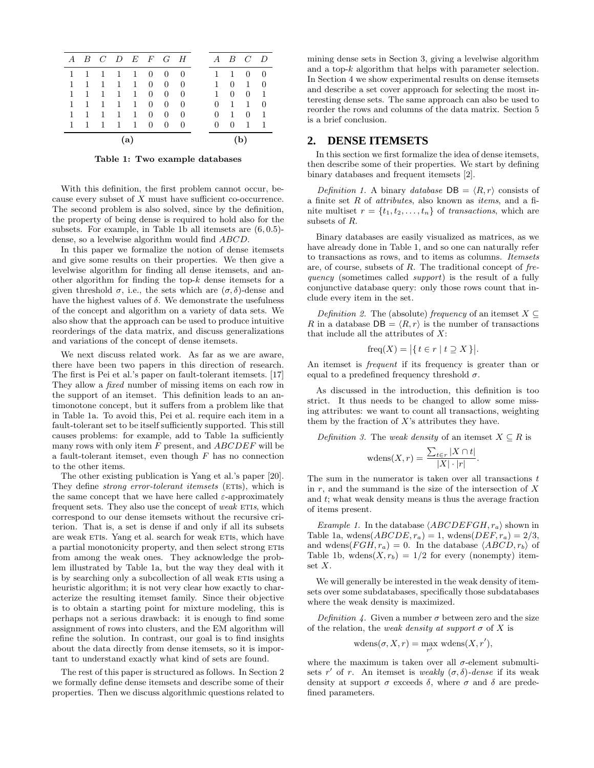|              |   |   |              |              |                | A B C D E F G H |                |   | $A$ $B$ $C$    |                | $\overline{D}$ |
|--------------|---|---|--------------|--------------|----------------|-----------------|----------------|---|----------------|----------------|----------------|
| 1            |   | 1 | 1 1          |              | 0              | $\theta$        | $\theta$       |   | 1              | 0              | $\Omega$       |
| $\mathbf{1}$ | 1 | 1 | 1            | 1            | $\overline{0}$ | $\overline{0}$  | $\theta$       | 1 | $\overline{0}$ | 1              | $\Omega$       |
| 1            | 1 | 1 | 1            | 1            | $\overline{0}$ | $\overline{0}$  | $\theta$       | 1 | $\theta$       | 0              | -1             |
| 1            | 1 | 1 | 1            | 1            | $\overline{0}$ | 0               | $\overline{0}$ | 0 | 1              | 1              | $\Omega$       |
| 1            |   | 1 | 1            | 1            | $\overline{0}$ | 0               | 0              | 0 | 1              | $\overline{0}$ | $\mathbf{1}$   |
| $\mathbf{1}$ | 1 | 1 | $\mathbf{1}$ | $\mathbf{1}$ | $\Omega$       | $\Omega$        | $\overline{0}$ | 0 | 0              | 1              | $\mathbf{1}$   |
| (a           |   |   |              |              |                |                 |                |   |                |                |                |

Table 1: Two example databases

With this definition, the first problem cannot occur, because every subset of X must have sufficient co-occurrence. The second problem is also solved, since by the definition, the property of being dense is required to hold also for the subsets. For example, in Table 1b all itemsets are  $(6, 0.5)$ dense, so a levelwise algorithm would find ABCD.

In this paper we formalize the notion of dense itemsets and give some results on their properties. We then give a levelwise algorithm for finding all dense itemsets, and another algorithm for finding the top- $k$  dense itemsets for a given threshold  $\sigma$ , i.e., the sets which are  $(\sigma, \delta)$ -dense and have the highest values of  $\delta$ . We demonstrate the usefulness of the concept and algorithm on a variety of data sets. We also show that the approach can be used to produce intuitive reorderings of the data matrix, and discuss generalizations and variations of the concept of dense itemsets.

We next discuss related work. As far as we are aware, there have been two papers in this direction of research. The first is Pei et al.'s paper on fault-tolerant itemsets. [17] They allow a *fixed* number of missing items on each row in the support of an itemset. This definition leads to an antimonotone concept, but it suffers from a problem like that in Table 1a. To avoid this, Pei et al. require each item in a fault-tolerant set to be itself sufficiently supported. This still causes problems: for example, add to Table 1a sufficiently many rows with only item  $F$  present, and  $ABCDEF$  will be a fault-tolerant itemset, even though  $F$  has no connection to the other items.

The other existing publication is Yang et al.'s paper [20]. They define *strong error-tolerant itemsets* (ETIS), which is the same concept that we have here called  $\varepsilon$ -approximately frequent sets. They also use the concept of *weak*  $ETIs$ , which correspond to our dense itemsets without the recursive criterion. That is, a set is dense if and only if all its subsets are weak ETIS. Yang et al. search for weak ETIS, which have a partial monotonicity property, and then select strong ETIS from among the weak ones. They acknowledge the problem illustrated by Table 1a, but the way they deal with it is by searching only a subcollection of all weak ETIS using a heuristic algorithm; it is not very clear how exactly to characterize the resulting itemset family. Since their objective is to obtain a starting point for mixture modeling, this is perhaps not a serious drawback: it is enough to find some assignment of rows into clusters, and the EM algorithm will refine the solution. In contrast, our goal is to find insights about the data directly from dense itemsets, so it is important to understand exactly what kind of sets are found.

The rest of this paper is structured as follows. In Section 2 we formally define dense itemsets and describe some of their properties. Then we discuss algorithmic questions related to

mining dense sets in Section 3, giving a levelwise algorithm and a top-k algorithm that helps with parameter selection. In Section 4 we show experimental results on dense itemsets and describe a set cover approach for selecting the most interesting dense sets. The same approach can also be used to reorder the rows and columns of the data matrix. Section 5 is a brief conclusion.

## **2. DENSE ITEMSETS**

In this section we first formalize the idea of dense itemsets, then describe some of their properties. We start by defining binary databases and frequent itemsets [2].

Definition 1. A binary database  $DB = \langle R, r \rangle$  consists of a finite set R of attributes, also known as items, and a finite multiset  $r = \{t_1, t_2, \ldots, t_n\}$  of transactions, which are subsets of R.

Binary databases are easily visualized as matrices, as we have already done in Table 1, and so one can naturally refer to transactions as rows, and to items as columns. Itemsets are, of course, subsets of R. The traditional concept of frequency (sometimes called *support*) is the result of a fully conjunctive database query: only those rows count that include every item in the set.

Definition 2. The (absolute) frequency of an itemset  $X \subseteq$ R in a database  $DB = \langle R, r \rangle$  is the number of transactions that include all the attributes of  $X$ :

$$
freq(X) = |\{ t \in r \mid t \supseteq X \}|.
$$

An itemset is *frequent* if its frequency is greater than or equal to a predefined frequency threshold  $\sigma$ .

As discussed in the introduction, this definition is too strict. It thus needs to be changed to allow some missing attributes: we want to count all transactions, weighting them by the fraction of  $X$ 's attributes they have.

*Definition 3.* The *weak density* of an itemset  $X \subseteq R$  is

$$
\text{wdens}(X,r) = \frac{\sum_{t \in r} |X \cap t|}{|X| \cdot |r|}.
$$

The sum in the numerator is taken over all transactions  $t$ in  $r$ , and the summand is the size of the intersection of  $X$ and t; what weak density means is thus the average fraction of items present.

*Example 1.* In the database  $\langle ABCDEFGH, r_a \rangle$  shown in Table 1a, wdens $(ABCDE, r_a) = 1$ , wdens $(DEF, r_a) = 2/3$ , and wdens $(FGH, r_a) = 0$ . In the database  $\langle ABCD, r_b \rangle$  of Table 1b, wdens $(X, r_b) = 1/2$  for every (nonempty) itemset X.

We will generally be interested in the weak density of itemsets over some subdatabases, specifically those subdatabases where the weak density is maximized.

Definition 4. Given a number  $\sigma$  between zero and the size of the relation, the weak density at support  $\sigma$  of X is

$$
\mathrm{wdens}(\sigma, X, r) = \max_{r'} \mathrm{wdens}(X, r'),
$$

where the maximum is taken over all  $\sigma$ -element submultisets r' of r. An itemset is weakly  $(\sigma, \delta)$ -dense if its weak density at support  $\sigma$  exceeds  $\delta$ , where  $\sigma$  and  $\delta$  are predefined parameters.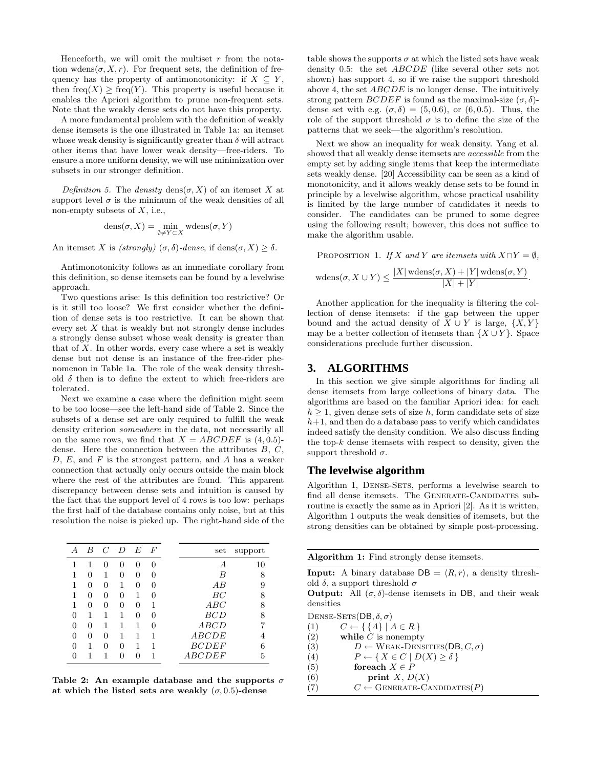Henceforth, we will omit the multiset  $r$  from the notation wdens $(\sigma, X, r)$ . For frequent sets, the definition of frequency has the property of antimonotonicity: if  $X \subseteq Y$ , then  $freq(X)$  > freq(Y). This property is useful because it enables the Apriori algorithm to prune non-frequent sets. Note that the weakly dense sets do not have this property.

A more fundamental problem with the definition of weakly dense itemsets is the one illustrated in Table 1a: an itemset whose weak density is significantly greater than  $\delta$  will attract other items that have lower weak density—free-riders. To ensure a more uniform density, we will use minimization over subsets in our stronger definition.

Definition 5. The density dens $(\sigma, X)$  of an itemset X at support level  $\sigma$  is the minimum of the weak densities of all non-empty subsets of  $X$ , i.e.,

$$
dens(\sigma, X) = \min_{\emptyset \neq Y \subset X} wdens(\sigma, Y)
$$

An itemset X is (strongly)  $(\sigma, \delta)$ -dense, if dens $(\sigma, X) \geq \delta$ .

Antimonotonicity follows as an immediate corollary from this definition, so dense itemsets can be found by a levelwise approach.

Two questions arise: Is this definition too restrictive? Or is it still too loose? We first consider whether the definition of dense sets is too restrictive. It can be shown that every set  $X$  that is weakly but not strongly dense includes a strongly dense subset whose weak density is greater than that of  $X$ . In other words, every case where a set is weakly dense but not dense is an instance of the free-rider phenomenon in Table 1a. The role of the weak density threshold  $\delta$  then is to define the extent to which free-riders are tolerated.

Next we examine a case where the definition might seem to be too loose—see the left-hand side of Table 2. Since the subsets of a dense set are only required to fulfill the weak density criterion *somewhere* in the data, not necessarily all on the same rows, we find that  $X = ABCDEF$  is (4,0.5)dense. Here the connection between the attributes  $B, C$ ,  $D, E,$  and F is the strongest pattern, and A has a weaker connection that actually only occurs outside the main block where the rest of the attributes are found. This apparent discrepancy between dense sets and intuition is caused by the fact that the support level of 4 rows is too low: perhaps the first half of the database contains only noise, but at this resolution the noise is picked up. The right-hand side of the

| А            | B        | $\mathcal{C}$ | $\overline{D}$ | E        | $\boldsymbol{F}$ | set             | support |
|--------------|----------|---------------|----------------|----------|------------------|-----------------|---------|
|              | 1        | $^{(1)}$      | 0              | $^{(1)}$ | $\mathbf{0}$     | A               | 10      |
|              | 0        | 1             | 0              | $\theta$ | $\cup$           | B               | 8       |
|              | 0        | 0             | 1              | 0        | $\cup$           | AB              | 9       |
|              | 0        | $^{(1)}$      | $\mathbf{0}$   | 1        | 0                | ВC              | 8       |
|              | $\theta$ | $\theta$      | 0              | $\theta$ |                  | ABC             | 8       |
| $\mathbf{0}$ | 1        | 1             | 1              | $\theta$ | $\mathbf{0}$     | BCD             | 8       |
| 0            | 0        | 1             | 1              | 1        | 0                | ABCD            |         |
| 0            | 0        | 0             | 1              | 1        |                  | $\Large{ABCDE}$ |         |
| 0            | 1        | 0             | ∩              | 1        | 1                | <i>BCDEF</i>    | 6       |
|              |          | 1             |                |          |                  | ABCDEF          | 5       |

Table 2: An example database and the supports  $\sigma$ at which the listed sets are weakly  $(\sigma, 0.5)$ -dense

table shows the supports  $\sigma$  at which the listed sets have weak density 0.5: the set ABCDE (like several other sets not shown) has support 4, so if we raise the support threshold above 4, the set ABCDE is no longer dense. The intuitively strong pattern  $BCDEF$  is found as the maximal-size  $(\sigma, \delta)$ dense set with e.g.  $(\sigma, \delta) = (5, 0.6)$ , or  $(6, 0.5)$ . Thus, the role of the support threshold  $\sigma$  is to define the size of the patterns that we seek—the algorithm's resolution.

Next we show an inequality for weak density. Yang et al. showed that all weakly dense itemsets are accessible from the empty set by adding single items that keep the intermediate sets weakly dense. [20] Accessibility can be seen as a kind of monotonicity, and it allows weakly dense sets to be found in principle by a levelwise algorithm, whose practical usability is limited by the large number of candidates it needs to consider. The candidates can be pruned to some degree using the following result; however, this does not suffice to make the algorithm usable.

PROPOSITION 1. If X and Y are itemsets with  $X \cap Y = \emptyset$ ,

$$
\mathrm{wdens}(\sigma, X \cup Y) \le \frac{|X| \mathrm{wdens}(\sigma, X) + |Y| \mathrm{wdens}(\sigma, Y)}{|X| + |Y|}.
$$

Another application for the inequality is filtering the collection of dense itemsets: if the gap between the upper bound and the actual density of  $X \cup Y$  is large,  $\{X, Y\}$ may be a better collection of itemsets than  $\{X \cup Y\}$ . Space considerations preclude further discussion.

# **3. ALGORITHMS**

In this section we give simple algorithms for finding all dense itemsets from large collections of binary data. The algorithms are based on the familiar Apriori idea: for each  $h \geq 1$ , given dense sets of size h, form candidate sets of size  $h+1$ , and then do a database pass to verify which candidates indeed satisfy the density condition. We also discuss finding the top- $k$  dense itemsets with respect to density, given the support threshold  $\sigma$ .

### **The levelwise algorithm**

Algorithm 1, DENSE-SETS, performs a levelwise search to find all dense itemsets. The GENERATE-CANDIDATES subroutine is exactly the same as in Apriori [2]. As it is written, Algorithm 1 outputs the weak densities of itemsets, but the strong densities can be obtained by simple post-processing.

**Input:** A binary database  $DB = \langle R, r \rangle$ , a density threshold  $\delta$ , a support threshold  $\sigma$ 

**Output:** All  $(\sigma, \delta)$ -dense itemsets in DB, and their weak densities

DENSE-SETS(DB,  $\delta$ ,  $\sigma$ )

(1)  $C \leftarrow \{\{A\} \mid A \in R\}$ 

- $(2)$  while C is nonempty
- (3)  $D \leftarrow \text{WEAK-DENSITIES}(\text{DB}, C, \sigma)$
- (4)  $P \leftarrow \{ X \in C \mid D(X) \ge \delta \}$
- (5) for each  $X \in P$
- (6) print  $X, D(X)$
- (7)  $C \leftarrow$  GENERATE-CANDIDATES(P)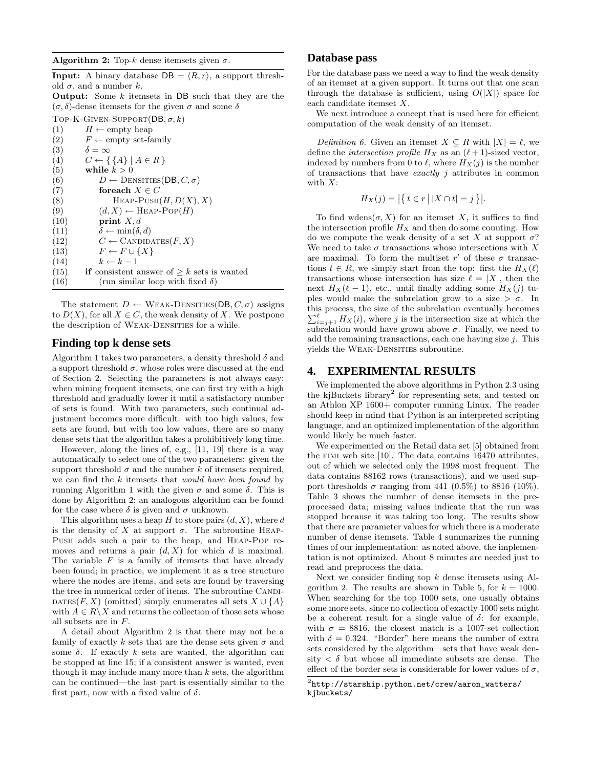Algorithm 2: Top-k dense itemsets given  $\sigma$ .

**Input:** A binary database  $DB = \langle R, r \rangle$ , a support threshold  $\sigma$ , and a number k.

**Output:** Some  $k$  itemsets in DB such that they are the  $(\sigma, \delta)$ -dense itemsets for the given  $\sigma$  and some  $\delta$ 

TOP-K-GIVEN-SUPPORT( $DB, \sigma, k$ )

(1)  $H \leftarrow \text{empty heap}$ (2)  $F \leftarrow \text{empty set-family}$ (3)  $\delta = \infty$ <br>(4)  $C \leftarrow \{$  $C \leftarrow \{\{A\} \mid A \in R\}$ (5) while  $k > 0$ (6)  $D \leftarrow$  DENSITIES(DB,  $C, \sigma$ ) (7) for each  $X \in C$ (8) HEAP-PUSH $(H, D(X), X)$ (9)  $(d, X) \leftarrow \text{HEAD-POP}(H)$ (10) **print**  $X, d$ (11)  $\delta \leftarrow \min(\delta, d)$ (12)  $C \leftarrow \text{CANDIDATES}(F, X)$ (13)  $F \leftarrow F \cup \{X\}$  $(k-1)$  k ← k – 1 (15) if consistent answer of  $\geq k$  sets is wanted (16) (run similar loop with fixed  $\delta$ )

The statement  $D \leftarrow \text{WEAK-DENSITIES}(\text{DB}, C, \sigma)$  assigns to  $D(X)$ , for all  $X \in C$ , the weak density of X. We postpone the description of WEAK-DENSITIES for a while.

#### **Finding top k dense sets**

Algorithm 1 takes two parameters, a density threshold  $\delta$  and a support threshold  $\sigma$ , whose roles were discussed at the end of Section 2. Selecting the parameters is not always easy; when mining frequent itemsets, one can first try with a high threshold and gradually lower it until a satisfactory number of sets is found. With two parameters, such continual adjustment becomes more difficult: with too high values, few sets are found, but with too low values, there are so many dense sets that the algorithm takes a prohibitively long time.

However, along the lines of, e.g., [11, 19] there is a way automatically to select one of the two parameters: given the support threshold  $\sigma$  and the number k of itemsets required, we can find the  $k$  itemsets that *would have been found* by running Algorithm 1 with the given  $σ$  and some  $δ$ . This is done by Algorithm 2; an analogous algorithm can be found for the case where  $\delta$  is given and  $\sigma$  unknown.

This algorithm uses a heap H to store pairs  $(d, X)$ , where d is the density of X at support  $\sigma$ . The subroutine HEAP-Push adds such a pair to the heap, and Heap-Pop removes and returns a pair  $(d, X)$  for which d is maximal. The variable  $F$  is a family of itemsets that have already been found; in practice, we implement it as a tree structure where the nodes are items, and sets are found by traversing the tree in numerical order of items. The subroutine CANDI-DATES(F, X) (omitted) simply enumerates all sets  $X \cup \{A\}$ with  $A \in R \backslash X$  and returns the collection of those sets whose all subsets are in F.

A detail about Algorithm 2 is that there may not be a family of exactly k sets that are the dense sets given  $\sigma$  and some  $\delta$ . If exactly k sets are wanted, the algorithm can be stopped at line 15; if a consistent answer is wanted, even though it may include many more than  $k$  sets, the algorithm can be continued—the last part is essentially similar to the first part, now with a fixed value of  $\delta$ .

# **Database pass**

For the database pass we need a way to find the weak density of an itemset at a given support. It turns out that one scan through the database is sufficient, using  $O(|X|)$  space for each candidate itemset X.

We next introduce a concept that is used here for efficient computation of the weak density of an itemset.

Definition 6. Given an itemset  $X \subseteq R$  with  $|X| = \ell$ , we define the *intersection profile*  $H_X$  as an  $(\ell + 1)$ -sized vector, indexed by numbers from 0 to  $\ell$ , where  $H_X(j)$  is the number of transactions that have *exactly*  $j$  attributes in common with  $X$ :

$$
H_X(j) = \left| \left\{ t \in r \, \middle| \, |X \cap t| = j \right\} \right|.
$$

To find wdens $(\sigma, X)$  for an itemset X, it suffices to find the intersection profile  $H_X$  and then do some counting. How do we compute the weak density of a set X at support  $\sigma$ ? We need to take  $\sigma$  transactions whose intersections with X are maximal. To form the multiset  $r'$  of these  $\sigma$  transactions  $t \in R$ , we simply start from the top: first the  $H_X(\ell)$ transactions whose intersection has size  $\ell = |X|$ , then the next  $H_X(\ell-1)$ , etc., until finally adding some  $H_X(j)$  tuples would make the subrelation grow to a size  $> \sigma$ . In this process, the size of the subrelation eventually becomes  $\sum_{i=j+1}^{\ell} H_X(i)$ , where j is the intersection size at which the subrelation would have grown above  $\sigma$ . Finally, we need to add the remaining transactions, each one having size  $j$ . This yields the WEAK-DENSITIES subroutine.

### **4. EXPERIMENTAL RESULTS**

We implemented the above algorithms in Python 2.3 using the kjBuckets library<sup>2</sup> for representing sets, and tested on an Athlon XP 1600+ computer running Linux. The reader should keep in mind that Python is an interpreted scripting language, and an optimized implementation of the algorithm would likely be much faster.

We experimented on the Retail data set [5] obtained from the fimi web site [10]. The data contains 16470 attributes, out of which we selected only the 1998 most frequent. The data contains 88162 rows (transactions), and we used support thresholds  $\sigma$  ranging from 441 (0.5%) to 8816 (10%). Table 3 shows the number of dense itemsets in the preprocessed data; missing values indicate that the run was stopped because it was taking too long. The results show that there are parameter values for which there is a moderate number of dense itemsets. Table 4 summarizes the running times of our implementation: as noted above, the implementation is not optimized. About 8 minutes are needed just to read and preprocess the data.

Next we consider finding top  $k$  dense itemsets using Algorithm 2. The results are shown in Table 5, for  $k = 1000$ . When searching for the top 1000 sets, one usually obtains some more sets, since no collection of exactly 1000 sets might be a coherent result for a single value of  $\delta$ : for example, with  $\sigma = 8816$ , the closest match is a 1007-set collection with  $\delta = 0.324$ . "Border" here means the number of extra sets considered by the algorithm—sets that have weak density  $\langle \delta \rangle$  but whose all immediate subsets are dense. The effect of the border sets is considerable for lower values of  $\sigma$ ,

 $^{2}$ http://starship.python.net/crew/aaron\_watters/ kjbuckets/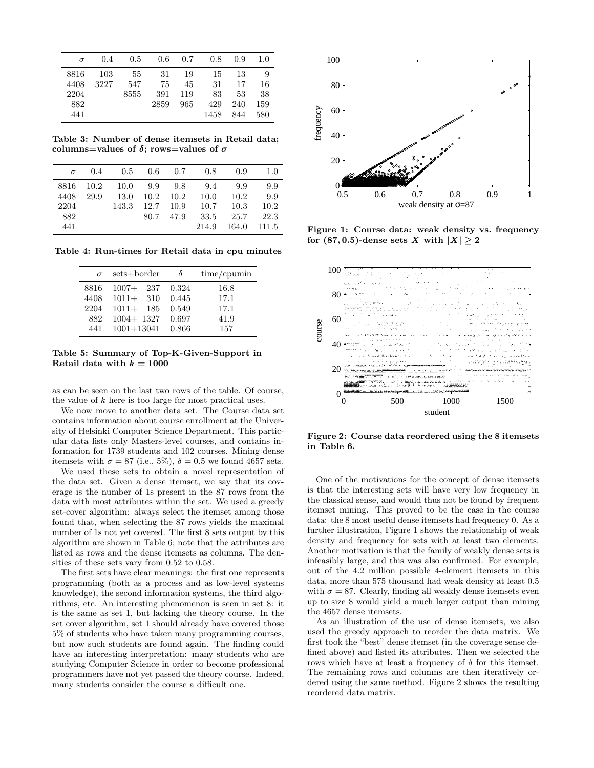| $\sigma$ | 0.4  | 0.5  |      | $0.6\quad 0.7$ | 0.8  | 0.9 | 1.0 |
|----------|------|------|------|----------------|------|-----|-----|
| 8816     | 103  | -55  | 31   | 19             | 15   | 13  | 9   |
| 4408     | 3227 | 547  | 75   | 45             | 31   | 17  | 16  |
| 2204     |      | 8555 | 391  | 119            | 83   | 53  | 38  |
| 882      |      |      | 2859 | 965            | 429  | 240 | 159 |
| 441      |      |      |      |                | 1458 | 844 | 580 |

Table 3: Number of dense itemsets in Retail data; columns=values of  $\delta$ ; rows=values of  $\sigma$ 

| $\sigma$ | 0.4  |       |         |                   | $0.5$ $0.6$ $0.7$ $0.8$ | 0.9   | 1.0   |
|----------|------|-------|---------|-------------------|-------------------------|-------|-------|
| 8816     | 10.2 | 10.0  | 9.9 9.8 |                   | 9.4                     | 9.9   | 9.9   |
| 4408     | 29.9 | 13.0  |         | $10.2 \quad 10.2$ | 10.0                    | 10.2  | 9.9   |
| 2204     |      | 143.3 |         | $12.7$ 10.9       | 10.7                    | 10.3  | 10.2  |
| 882      |      |       |         | 80.7 47.9         | 33.5                    | 25.7  | 22.3  |
| 441      |      |       |         |                   | 214.9                   | 164.0 | 111.5 |

Table 4: Run-times for Retail data in cpu minutes

| $\sigma$ | sets+border    | δ     | $time/c$ pumin |
|----------|----------------|-------|----------------|
| 8816     | 237<br>$1007+$ | 0.324 | 16.8           |
| 4408     | $1011 + 310$   | 0.445 | 17.1           |
| 2204     | $1011 + 185$   | 0.549 | 17.1           |
| 882      | $1004 + 1327$  | 0.697 | 41.9           |
| 441      | $1001 + 13041$ | 0.866 | 157            |

#### Table 5: Summary of Top-K-Given-Support in Retail data with  $k = 1000$

as can be seen on the last two rows of the table. Of course, the value of  $k$  here is too large for most practical uses.

We now move to another data set. The Course data set contains information about course enrollment at the University of Helsinki Computer Science Department. This particular data lists only Masters-level courses, and contains information for 1739 students and 102 courses. Mining dense itemsets with  $\sigma = 87$  (i.e., 5%),  $\delta = 0.5$  we found 4657 sets.

We used these sets to obtain a novel representation of the data set. Given a dense itemset, we say that its coverage is the number of 1s present in the 87 rows from the data with most attributes within the set. We used a greedy set-cover algorithm: always select the itemset among those found that, when selecting the 87 rows yields the maximal number of 1s not yet covered. The first 8 sets output by this algorithm are shown in Table 6; note that the attributes are listed as rows and the dense itemsets as columns. The densities of these sets vary from 0.52 to 0.58.

The first sets have clear meanings: the first one represents programming (both as a process and as low-level systems knowledge), the second information systems, the third algorithms, etc. An interesting phenomenon is seen in set 8: it is the same as set 1, but lacking the theory course. In the set cover algorithm, set 1 should already have covered those 5% of students who have taken many programming courses, but now such students are found again. The finding could have an interesting interpretation: many students who are studying Computer Science in order to become professional programmers have not yet passed the theory course. Indeed, many students consider the course a difficult one.



Figure 1: Course data: weak density vs. frequency for (87,0.5)-dense sets X with  $|X| \geq 2$ 



Figure 2: Course data reordered using the 8 itemsets in Table 6.

One of the motivations for the concept of dense itemsets is that the interesting sets will have very low frequency in the classical sense, and would thus not be found by frequent itemset mining. This proved to be the case in the course data: the 8 most useful dense itemsets had frequency 0. As a further illustration, Figure 1 shows the relationship of weak density and frequency for sets with at least two elements. Another motivation is that the family of weakly dense sets is infeasibly large, and this was also confirmed. For example, out of the 4.2 million possible 4-element itemsets in this data, more than 575 thousand had weak density at least 0.5 with  $\sigma = 87$ . Clearly, finding all weakly dense itemsets even up to size 8 would yield a much larger output than mining the 4657 dense itemsets.

As an illustration of the use of dense itemsets, we also used the greedy approach to reorder the data matrix. We first took the "best" dense itemset (in the coverage sense defined above) and listed its attributes. Then we selected the rows which have at least a frequency of  $\delta$  for this itemset. The remaining rows and columns are then iteratively ordered using the same method. Figure 2 shows the resulting reordered data matrix.